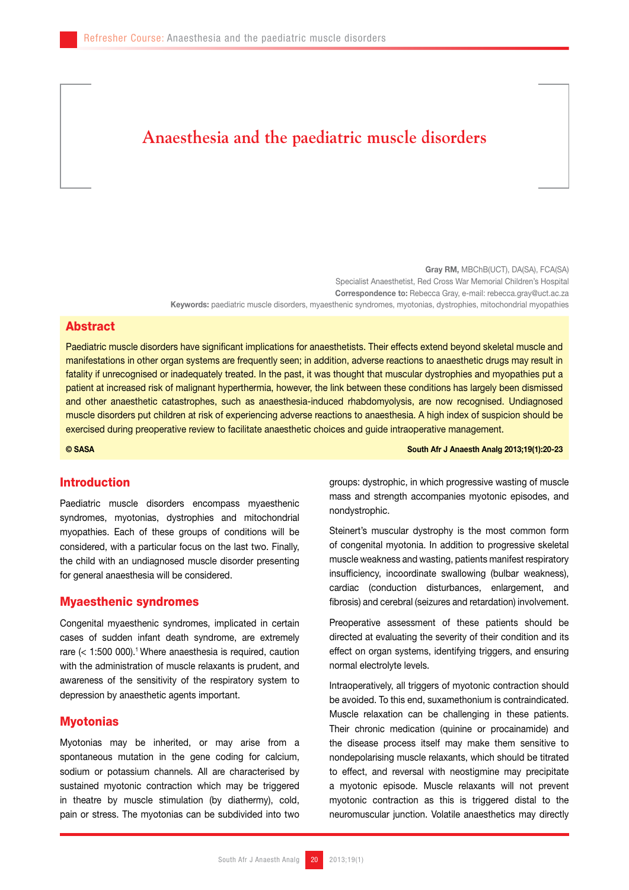# **Anaesthesia and the paediatric muscle disorders**

Gray RM, MBChB(UCT), DA(SA), FCA(SA) Specialist Anaesthetist, Red Cross War Memorial Children's Hospital Correspondence to: Rebecca Gray, e-mail: rebecca.gray@uct.ac.za Keywords: paediatric muscle disorders, myaesthenic syndromes, myotonias, dystrophies, mitochondrial myopathies

### Abstract

Paediatric muscle disorders have significant implications for anaesthetists. Their effects extend beyond skeletal muscle and manifestations in other organ systems are frequently seen; in addition, adverse reactions to anaesthetic drugs may result in fatality if unrecognised or inadequately treated. In the past, it was thought that muscular dystrophies and myopathies put a patient at increased risk of malignant hyperthermia, however, the link between these conditions has largely been dismissed and other anaesthetic catastrophes, such as anaesthesia-induced rhabdomyolysis, are now recognised. Undiagnosed muscle disorders put children at risk of experiencing adverse reactions to anaesthesia. A high index of suspicion should be exercised during preoperative review to facilitate anaesthetic choices and guide intraoperative management.

© SASA South Afr J Anaesth Analg 2013;19(1):20-23

# Introduction

Paediatric muscle disorders encompass myaesthenic syndromes, myotonias, dystrophies and mitochondrial myopathies. Each of these groups of conditions will be considered, with a particular focus on the last two. Finally, the child with an undiagnosed muscle disorder presenting for general anaesthesia will be considered.

#### Myaesthenic syndromes

Congenital myaesthenic syndromes, implicated in certain cases of sudden infant death syndrome, are extremely rare  $(< 1:500 000)$ .<sup>1</sup> Where anaesthesia is required, caution with the administration of muscle relaxants is prudent, and awareness of the sensitivity of the respiratory system to depression by anaesthetic agents important.

## **Myotonias**

Myotonias may be inherited, or may arise from a spontaneous mutation in the gene coding for calcium, sodium or potassium channels. All are characterised by sustained myotonic contraction which may be triggered in theatre by muscle stimulation (by diathermy), cold, pain or stress. The myotonias can be subdivided into two groups: dystrophic, in which progressive wasting of muscle mass and strength accompanies myotonic episodes, and nondystrophic.

Steinert's muscular dystrophy is the most common form of congenital myotonia. In addition to progressive skeletal muscle weakness and wasting, patients manifest respiratory insufficiency, incoordinate swallowing (bulbar weakness), cardiac (conduction disturbances, enlargement, and fibrosis) and cerebral (seizures and retardation) involvement.

Preoperative assessment of these patients should be directed at evaluating the severity of their condition and its effect on organ systems, identifying triggers, and ensuring normal electrolyte levels.

Intraoperatively, all triggers of myotonic contraction should be avoided. To this end, suxamethonium is contraindicated. Muscle relaxation can be challenging in these patients. Their chronic medication (quinine or procainamide) and the disease process itself may make them sensitive to nondepolarising muscle relaxants, which should be titrated to effect, and reversal with neostigmine may precipitate a myotonic episode. Muscle relaxants will not prevent myotonic contraction as this is triggered distal to the neuromuscular junction. Volatile anaesthetics may directly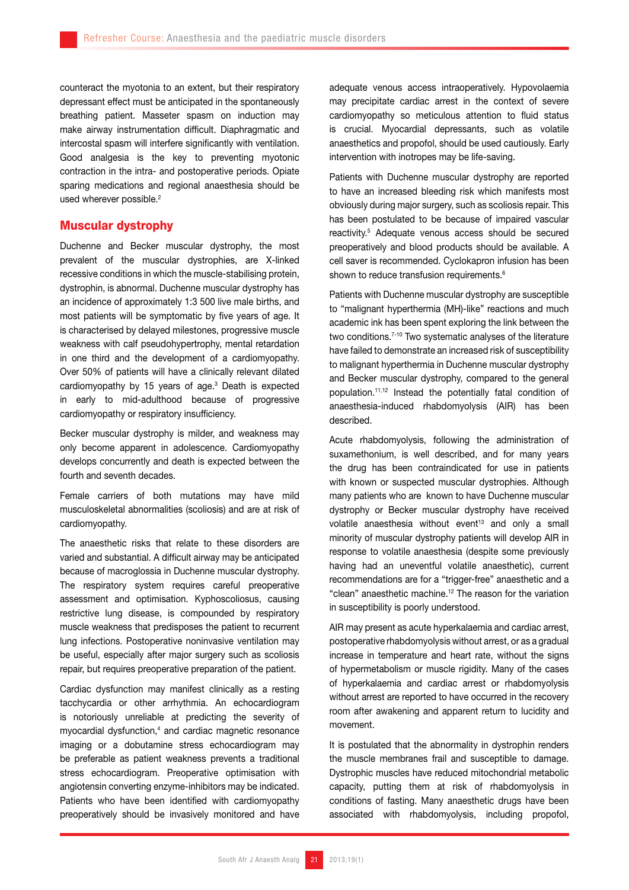counteract the myotonia to an extent, but their respiratory depressant effect must be anticipated in the spontaneously breathing patient. Masseter spasm on induction may make airway instrumentation difficult. Diaphragmatic and intercostal spasm will interfere significantly with ventilation. Good analgesia is the key to preventing myotonic contraction in the intra- and postoperative periods. Opiate sparing medications and regional anaesthesia should be used wherever possible.<sup>2</sup>

# Muscular dystrophy

Duchenne and Becker muscular dystrophy, the most prevalent of the muscular dystrophies, are X-linked recessive conditions in which the muscle-stabilising protein, dystrophin, is abnormal. Duchenne muscular dystrophy has an incidence of approximately 1:3 500 live male births, and most patients will be symptomatic by five years of age. It is characterised by delayed milestones, progressive muscle weakness with calf pseudohypertrophy, mental retardation in one third and the development of a cardiomyopathy. Over 50% of patients will have a clinically relevant dilated cardiomyopathy by 15 years of age.3 Death is expected in early to mid-adulthood because of progressive cardiomyopathy or respiratory insufficiency.

Becker muscular dystrophy is milder, and weakness may only become apparent in adolescence. Cardiomyopathy develops concurrently and death is expected between the fourth and seventh decades.

Female carriers of both mutations may have mild musculoskeletal abnormalities (scoliosis) and are at risk of cardiomyopathy.

The anaesthetic risks that relate to these disorders are varied and substantial. A difficult airway may be anticipated because of macroglossia in Duchenne muscular dystrophy. The respiratory system requires careful preoperative assessment and optimisation. Kyphoscoliosus, causing restrictive lung disease, is compounded by respiratory muscle weakness that predisposes the patient to recurrent lung infections. Postoperative noninvasive ventilation may be useful, especially after major surgery such as scoliosis repair, but requires preoperative preparation of the patient.

Cardiac dysfunction may manifest clinically as a resting tacchycardia or other arrhythmia. An echocardiogram is notoriously unreliable at predicting the severity of myocardial dysfunction,<sup>4</sup> and cardiac magnetic resonance imaging or a dobutamine stress echocardiogram may be preferable as patient weakness prevents a traditional stress echocardiogram. Preoperative optimisation with angiotensin converting enzyme-inhibitors may be indicated. Patients who have been identified with cardiomyopathy preoperatively should be invasively monitored and have adequate venous access intraoperatively. Hypovolaemia may precipitate cardiac arrest in the context of severe cardiomyopathy so meticulous attention to fluid status is crucial. Myocardial depressants, such as volatile anaesthetics and propofol, should be used cautiously. Early intervention with inotropes may be life-saving.

Patients with Duchenne muscular dystrophy are reported to have an increased bleeding risk which manifests most obviously during major surgery, such as scoliosis repair. This has been postulated to be because of impaired vascular reactivity.5 Adequate venous access should be secured preoperatively and blood products should be available. A cell saver is recommended. Cyclokapron infusion has been shown to reduce transfusion requirements.<sup>6</sup>

Patients with Duchenne muscular dystrophy are susceptible to "malignant hyperthermia (MH)-like" reactions and much academic ink has been spent exploring the link between the two conditions.<sup>7-10</sup> Two systematic analyses of the literature have failed to demonstrate an increased risk of susceptibility to malignant hyperthermia in Duchenne muscular dystrophy and Becker muscular dystrophy, compared to the general population.11,12 Instead the potentially fatal condition of anaesthesia-induced rhabdomyolysis (AIR) has been described.

Acute rhabdomyolysis, following the administration of suxamethonium, is well described, and for many years the drug has been contraindicated for use in patients with known or suspected muscular dystrophies. Although many patients who are known to have Duchenne muscular dystrophy or Becker muscular dystrophy have received volatile anaesthesia without event<sup>13</sup> and only a small minority of muscular dystrophy patients will develop AIR in response to volatile anaesthesia (despite some previously having had an uneventful volatile anaesthetic), current recommendations are for a "trigger-free" anaesthetic and a "clean" anaesthetic machine.12 The reason for the variation in susceptibility is poorly understood.

AIR may present as acute hyperkalaemia and cardiac arrest, postoperative rhabdomyolysis without arrest, or as a gradual increase in temperature and heart rate, without the signs of hypermetabolism or muscle rigidity. Many of the cases of hyperkalaemia and cardiac arrest or rhabdomyolysis without arrest are reported to have occurred in the recovery room after awakening and apparent return to lucidity and movement.

It is postulated that the abnormality in dystrophin renders the muscle membranes frail and susceptible to damage. Dystrophic muscles have reduced mitochondrial metabolic capacity, putting them at risk of rhabdomyolysis in conditions of fasting. Many anaesthetic drugs have been associated with rhabdomyolysis, including propofol,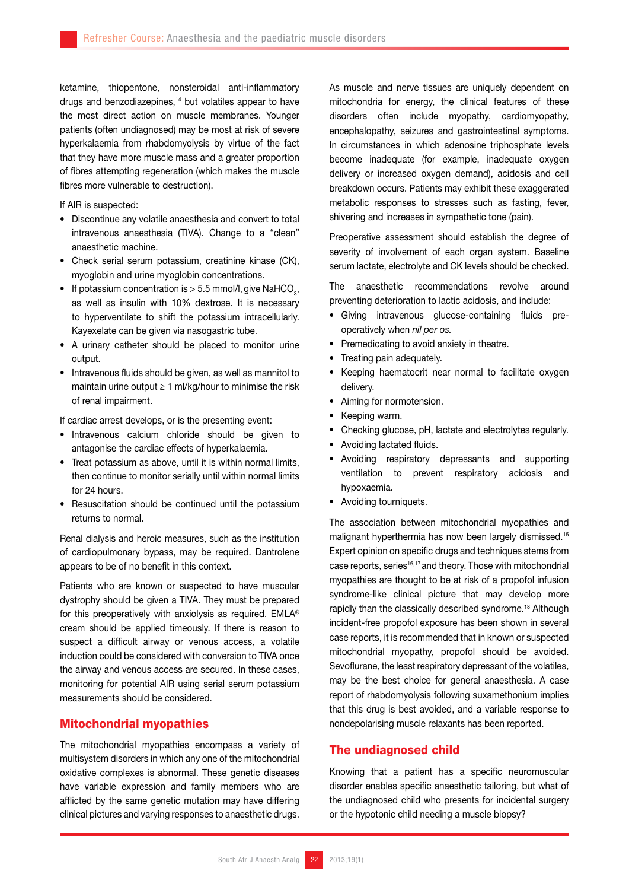ketamine, thiopentone, nonsteroidal anti-inflammatory drugs and benzodiazepines,<sup>14</sup> but volatiles appear to have the most direct action on muscle membranes. Younger patients (often undiagnosed) may be most at risk of severe hyperkalaemia from rhabdomyolysis by virtue of the fact that they have more muscle mass and a greater proportion of fibres attempting regeneration (which makes the muscle fibres more vulnerable to destruction).

If AIR is suspected:

- Discontinue any volatile anaesthesia and convert to total intravenous anaesthesia (TIVA). Change to a "clean" anaesthetic machine.
- Check serial serum potassium, creatinine kinase (CK), myoglobin and urine myoglobin concentrations.
- If potassium concentration is  $>$  5.5 mmol/l, give NaHCO<sub>3</sub>, as well as insulin with 10% dextrose. It is necessary to hyperventilate to shift the potassium intracellularly. Kayexelate can be given via nasogastric tube.
- A urinary catheter should be placed to monitor urine output.
- Intravenous fluids should be given, as well as mannitol to maintain urine output ≥ 1 ml/kg/hour to minimise the risk of renal impairment.

If cardiac arrest develops, or is the presenting event:

- • Intravenous calcium chloride should be given to antagonise the cardiac effects of hyperkalaemia.
- Treat potassium as above, until it is within normal limits, then continue to monitor serially until within normal limits for 24 hours.
- Resuscitation should be continued until the potassium returns to normal.

Renal dialysis and heroic measures, such as the institution of cardiopulmonary bypass, may be required. Dantrolene appears to be of no benefit in this context.

Patients who are known or suspected to have muscular dystrophy should be given a TIVA. They must be prepared for this preoperatively with anxiolysis as required. EMLA® cream should be applied timeously. If there is reason to suspect a difficult airway or venous access, a volatile induction could be considered with conversion to TIVA once the airway and venous access are secured. In these cases, monitoring for potential AIR using serial serum potassium measurements should be considered.

## Mitochondrial myopathies

The mitochondrial myopathies encompass a variety of multisystem disorders in which any one of the mitochondrial oxidative complexes is abnormal. These genetic diseases have variable expression and family members who are afflicted by the same genetic mutation may have differing clinical pictures and varying responses to anaesthetic drugs.

As muscle and nerve tissues are uniquely dependent on mitochondria for energy, the clinical features of these disorders often include myopathy, cardiomyopathy, encephalopathy, seizures and gastrointestinal symptoms. In circumstances in which adenosine triphosphate levels become inadequate (for example, inadequate oxygen delivery or increased oxygen demand), acidosis and cell breakdown occurs. Patients may exhibit these exaggerated metabolic responses to stresses such as fasting, fever, shivering and increases in sympathetic tone (pain).

Preoperative assessment should establish the degree of severity of involvement of each organ system. Baseline serum lactate, electrolyte and CK levels should be checked.

The anaesthetic recommendations revolve around preventing deterioration to lactic acidosis, and include:

- • Giving intravenous glucose-containing fluids preoperatively when *nil per os.*
- Premedicating to avoid anxiety in theatre.
- Treating pain adequately.
- • Keeping haematocrit near normal to facilitate oxygen delivery.
- • Aiming for normotension.
- Keeping warm.
- • Checking glucose, pH, lactate and electrolytes regularly.
- Avoiding lactated fluids.
- • Avoiding respiratory depressants and supporting ventilation to prevent respiratory acidosis and hypoxaemia.
- Avoiding tourniquets.

The association between mitochondrial myopathies and malignant hyperthermia has now been largely dismissed.15 Expert opinion on specific drugs and techniques stems from case reports, series<sup>16,17</sup> and theory. Those with mitochondrial myopathies are thought to be at risk of a propofol infusion syndrome-like clinical picture that may develop more rapidly than the classically described syndrome.<sup>18</sup> Although incident-free propofol exposure has been shown in several case reports, it is recommended that in known or suspected mitochondrial myopathy, propofol should be avoided. Sevoflurane, the least respiratory depressant of the volatiles, may be the best choice for general anaesthesia. A case report of rhabdomyolysis following suxamethonium implies that this drug is best avoided, and a variable response to nondepolarising muscle relaxants has been reported.

# The undiagnosed child

Knowing that a patient has a specific neuromuscular disorder enables specific anaesthetic tailoring, but what of the undiagnosed child who presents for incidental surgery or the hypotonic child needing a muscle biopsy?